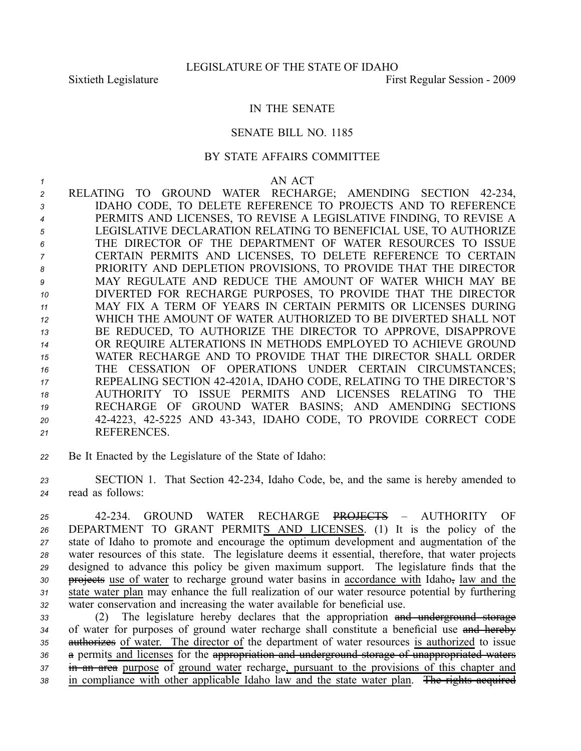## IN THE SENATE

## SENATE BILL NO. 1185

## BY STATE AFFAIRS COMMITTEE

## *1* AN ACT

 RELATING TO GROUND WATER RECHARGE; AMENDING SECTION 42234, IDAHO CODE, TO DELETE REFERENCE TO PROJECTS AND TO REFERENCE PERMITS AND LICENSES, TO REVISE A LEGISLATIVE FINDING, TO REVISE A LEGISLATIVE DECLARATION RELATING TO BENEFICIAL USE, TO AUTHORIZE THE DIRECTOR OF THE DEPARTMENT OF WATER RESOURCES TO ISSUE CERTAIN PERMITS AND LICENSES, TO DELETE REFERENCE TO CERTAIN PRIORITY AND DEPLETION PROVISIONS, TO PROVIDE THAT THE DIRECTOR MAY REGULATE AND REDUCE THE AMOUNT OF WATER WHICH MAY BE DIVERTED FOR RECHARGE PURPOSES, TO PROVIDE THAT THE DIRECTOR MAY FIX A TERM OF YEARS IN CERTAIN PERMITS OR LICENSES DURING WHICH THE AMOUNT OF WATER AUTHORIZED TO BE DIVERTED SHALL NOT BE REDUCED, TO AUTHORIZE THE DIRECTOR TO APPROVE, DISAPPROVE OR REQUIRE ALTERATIONS IN METHODS EMPLOYED TO ACHIEVE GROUND WATER RECHARGE AND TO PROVIDE THAT THE DIRECTOR SHALL ORDER THE CESSATION OF OPERATIONS UNDER CERTAIN CIRCUMSTANCES; REPEALING SECTION 424201A, IDAHO CODE, RELATING TO THE DIRECTOR'S AUTHORITY TO ISSUE PERMITS AND LICENSES RELATING TO THE RECHARGE OF GROUND WATER BASINS; AND AMENDING SECTIONS 424223, 425225 AND 43343, IDAHO CODE, TO PROVIDE CORRECT CODE REFERENCES.

*<sup>22</sup>* Be It Enacted by the Legislature of the State of Idaho:

*<sup>23</sup>* SECTION 1. That Section 42234, Idaho Code, be, and the same is hereby amended to *<sup>24</sup>* read as follows:

 42234. GROUND WATER RECHARGE PROJECTS – AUTHORITY OF DEPARTMENT TO GRANT PERMITS AND LICENSES. (1) It is the policy of the state of Idaho to promote and encourage the optimum development and augmentation of the water resources of this state. The legislature deems it essential, therefore, that water projects designed to advance this policy be given maximum support. The legislature finds that the 30 projects use of water to recharge ground water basins in accordance with Idaho, law and the state water plan may enhance the full realization of our water resource potential by furthering water conservation and increasing the water available for beneficial use.

 (2) The legislature hereby declares that the appropriation and underground storage of water for purposes of ground water recharge shall constitute <sup>a</sup> beneficial use and hereby authorizes of water. The director of the department of water resources is authorized to issue <sup>a</sup> permits and licenses for the appropriation and underground storage of unappropriated waters in an area purpose of ground water recharge, pursuan<sup>t</sup> to the provisions of this chapter and in compliance with other applicable Idaho law and the state water plan. The rights acquired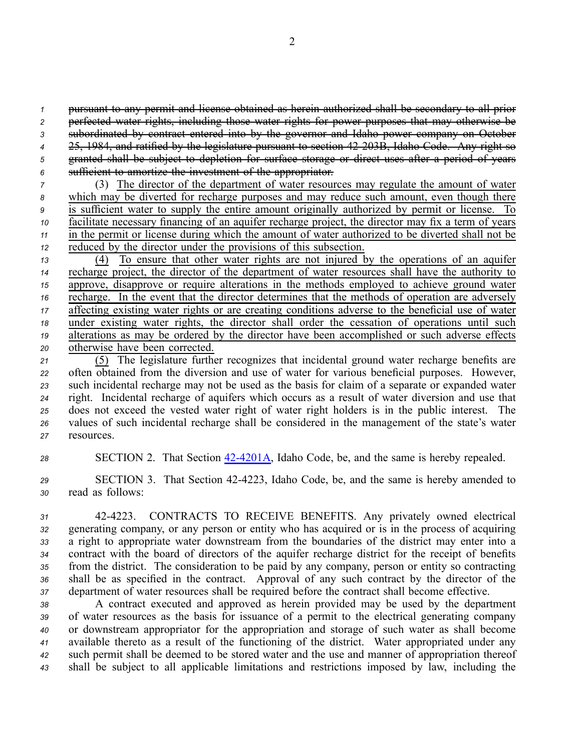pursuan<sup>t</sup> to any permit and license obtained as herein authorized shall be secondary to all prior perfected water rights, including those water rights for power purposes that may otherwise be subordinated by contract entered into by the governor and Idaho power company on October 25, 1984, and ratified by the legislature pursuan<sup>t</sup> to section 42203B, Idaho Code. Any right so granted shall be subject to depletion for surface storage or direct uses after <sup>a</sup> period of years sufficient to amortize the investment of the appropriator. (3) The director of the department of water resources may regulate the amount of water which may be diverted for recharge purposes and may reduce such amount, even though there is sufficient water to supply the entire amount originally authorized by permit or license. To facilitate necessary financing of an aquifer recharge project, the director may fix <sup>a</sup> term of years

*<sup>11</sup>* in the permit or license during which the amount of water authorized to be diverted shall not be *12* reduced by the director under the provisions of this subsection.

 (4) To ensure that other water rights are not injured by the operations of an aquifer recharge project, the director of the department of water resources shall have the authority to approve, disapprove or require alterations in the methods employed to achieve ground water recharge. In the event that the director determines that the methods of operation are adversely affecting existing water rights or are creating conditions adverse to the beneficial use of water under existing water rights, the director shall order the cessation of operations until such alterations as may be ordered by the director have been accomplished or such adverse effects otherwise have been corrected.

 (5) The legislature further recognizes that incidental ground water recharge benefits are often obtained from the diversion and use of water for various beneficial purposes. However, such incidental recharge may not be used as the basis for claim of <sup>a</sup> separate or expanded water right. Incidental recharge of aquifers which occurs as <sup>a</sup> result of water diversion and use that does not exceed the vested water right of water right holders is in the public interest. The values of such incidental recharge shall be considered in the managemen<sup>t</sup> of the state's water resources.

28 SECTION 2. That Section 42-4201A, Idaho Code, be, and the same is hereby repealed.

*<sup>29</sup>* SECTION 3. That Section 424223, Idaho Code, be, and the same is hereby amended to *<sup>30</sup>* read as follows:

 424223. CONTRACTS TO RECEIVE BENEFITS. Any privately owned electrical generating company, or any person or entity who has acquired or is in the process of acquiring <sup>a</sup> right to appropriate water downstream from the boundaries of the district may enter into <sup>a</sup> contract with the board of directors of the aquifer recharge district for the receipt of benefits from the district. The consideration to be paid by any company, person or entity so contracting shall be as specified in the contract. Approval of any such contract by the director of the department of water resources shall be required before the contract shall become effective.

 A contract executed and approved as herein provided may be used by the department of water resources as the basis for issuance of <sup>a</sup> permit to the electrical generating company or downstream appropriator for the appropriation and storage of such water as shall become available thereto as <sup>a</sup> result of the functioning of the district. Water appropriated under any such permit shall be deemed to be stored water and the use and manner of appropriation thereof shall be subject to all applicable limitations and restrictions imposed by law, including the